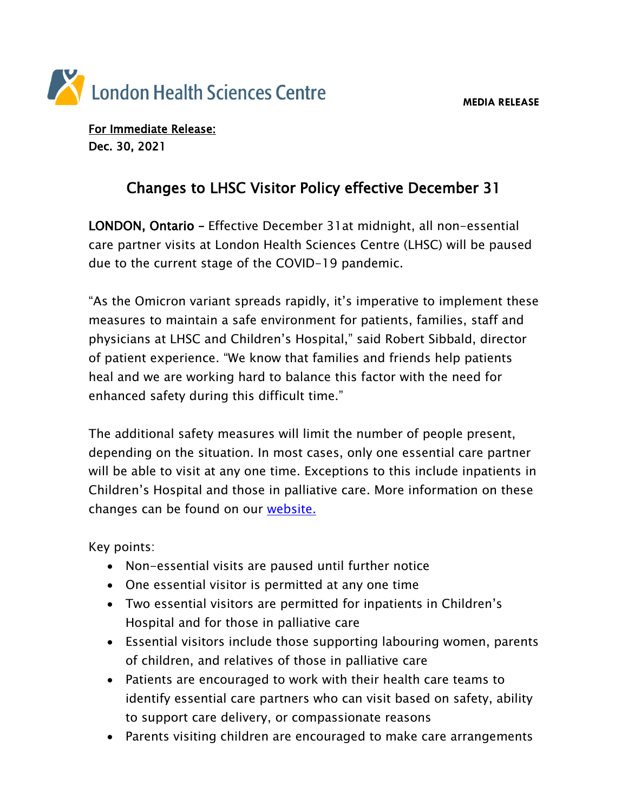

For Immediate Release: Dec. 30, 2021

## Changes to LHSC Visitor Policy effective December 31

LONDON, Ontario – Effective December 31at midnight, all non-essential care partner visits at London Health Sciences Centre (LHSC) will be paused due to the current stage of the COVID-19 pandemic.

"As the Omicron variant spreads rapidly, it's imperative to implement these measures to maintain a safe environment for patients, families, staff and physicians at LHSC and Children's Hospital," said Robert Sibbald, director of patient experience. "We know that families and friends help patients heal and we are working hard to balance this factor with the need for enhanced safety during this difficult time."

The additional safety measures will limit the number of people present, depending on the situation. In most cases, only one essential care partner will be able to visit at any one time. Exceptions to this include inpatients in Children's Hospital and those in palliative care. More information on these changes can be found on our [website.](https://www.lhsc.on.ca/coronavirus/visitor-policy)

Key points:

- Non-essential visits are paused until further notice
- One essential visitor is permitted at any one time
- Two essential visitors are permitted for inpatients in Children's Hospital and for those in palliative care
- Essential visitors include those supporting labouring women, parents of children, and relatives of those in palliative care
- Patients are encouraged to work with their health care teams to identify essential care partners who can visit based on safety, ability to support care delivery, or compassionate reasons
- Parents visiting children are encouraged to make care arrangements